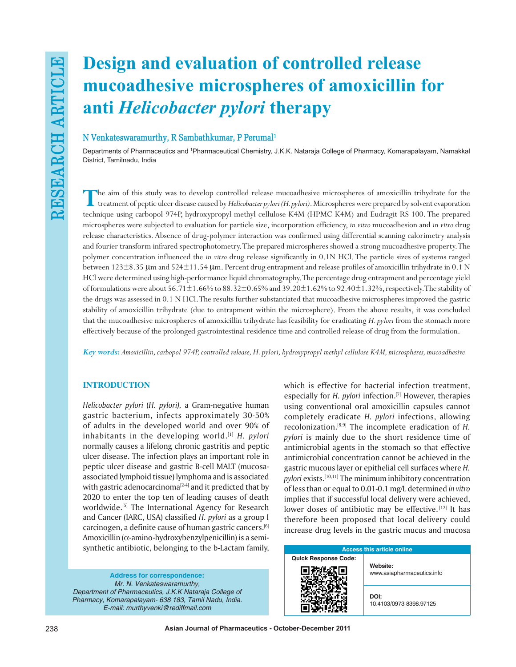# **Design and evaluation of controlled release mucoadhesive microspheres of amoxicillin for anti** *Helicobacter pylori* **therapy**

# **N Venkateswaramurthy, R Sambathkumar, P Perumal1**

Departments of Pharmaceutics and 'Pharmaceutical Chemistry, J.K.K. Nataraja College of Pharmacy, Komarapalayam, Namakkal District, Tamilnadu, India

**T**he aim of this study was to develop controlled release mucoadhesive microspheres of amoxicillin trihydrate for the treatment of peptic ulcer disease caused by *Helicobacter pylori (H. pylori)*. Microspheres were prepared by solvent evaporation technique using carbopol 974P, hydroxypropyl methyl cellulose K4M (HPMC K4M) and Eudragit RS 100. The prepared microspheres were subjected to evaluation for particle size, incorporation efficiency, *in vitro* mucoadhesion and *in vitro* drug release characteristics. Absence of drug-polymer interaction was confirmed using differential scanning calorimetry analysis and fourier transform infrared spectrophotometry. The prepared microspheres showed a strong mucoadhesive property. The polymer concentration influenced the *in vitro* drug release significantly in 0.1N HCl. The particle sizes of systems ranged between 123±8.35 μm and 524±11.54 μm. Percent drug entrapment and release profiles of amoxicillin trihydrate in 0.1 N HCl were determined using high-performance liquid chromatography. The percentage drug entrapment and percentage yield of formulations were about  $56.71\pm1.66\%$  to  $88.32\pm0.65\%$  and  $39.20\pm1.62\%$  to  $92.40\pm1.32\%$ , respectively. The stability of the drugs was assessed in 0.1 N HCl. The results further substantiated that mucoadhesive microspheres improved the gastric stability of amoxicillin trihydrate (due to entrapment within the microsphere). From the above results, it was concluded that the mucoadhesive microspheres of amoxicillin trihydrate has feasibility for eradicating *H. pylori* from the stomach more effectively because of the prolonged gastrointestinal residence time and controlled release of drug from the formulation.

*Key words: Amoxicillin, carbopol 974P, controlled release, H. pylori, hydroxypropyl methyl cellulose K4M, microspheres, mucoadhesive*

# **INTRODUCTION**

*Helicobacter pylori* (*H. pylori),* a Gram-negative human gastric bacterium, infects approximately 30-50% of adults in the developed world and over 90% of inhabitants in the developing world.[1] *H. pylori* normally causes a lifelong chronic gastritis and peptic ulcer disease. The infection plays an important role in peptic ulcer disease and gastric B-cell MALT (mucosaassociated lymphoid tissue) lymphoma and is associated with gastric adenocarcinoma $[2-4]$  and it predicted that by 2020 to enter the top ten of leading causes of death worldwide.<sup>[5]</sup> The International Agency for Research and Cancer (IARC, USA) classified *H. pylori* as a group I carcinogen, a definite cause of human gastric cancers.[6] Amoxicillin (α-amino-hydroxybenzylpenicillin) is a semisynthetic antibiotic, belonging to the b-Lactam family,

**Address for correspondence:** Mr. N. Venkateswaramurthy, *Department of Pharmaceutics, J.K.K Nataraja College of*  Pharmacy, Komarapalayam- 638 183, Tamil Nadu, India. E-mail: murthyvenki@rediffmail.com

which is effective for bacterial infection treatment, especially for *H. pylori* infection.<sup>[7]</sup> However, therapies using conventional oral amoxicillin capsules cannot completely eradicate *H. pylori* infections, allowing recolonization.[8,9] The incomplete eradication of *H. pylori* is mainly due to the short residence time of antimicrobial agents in the stomach so that effective antimicrobial concentration cannot be achieved in the gastric mucous layer or epithelial cell surfaces where *H. pylori* exists.[10,11] The minimum inhibitory concentration of less than or equal to 0.01-0.1 mg/L determined *in vitro* implies that if successful local delivery were achieved, lower doses of antibiotic may be effective.<sup>[12]</sup> It has therefore been proposed that local delivery could increase drug levels in the gastric mucus and mucosa

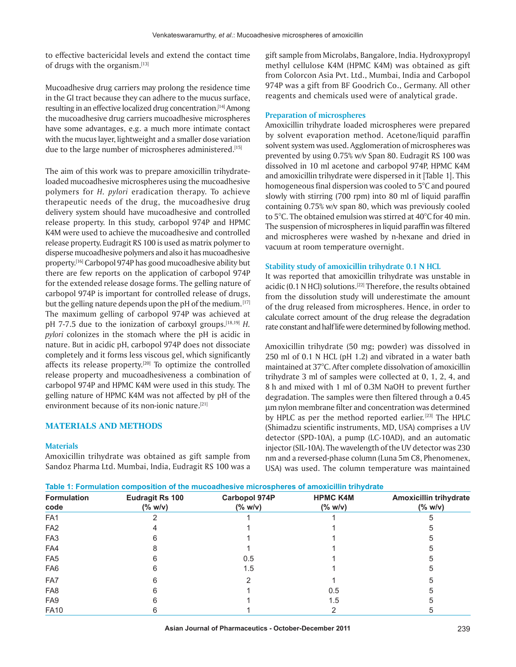to effective bactericidal levels and extend the contact time of drugs with the organism.[13]

Mucoadhesive drug carriers may prolong the residence time in the GI tract because they can adhere to the mucus surface, resulting in an effective localized drug concentration.[14] Among the mucoadhesive drug carriers mucoadhesive microspheres have some advantages, e.g. a much more intimate contact with the mucus layer, lightweight and a smaller dose variation due to the large number of microspheres administered.<sup>[15]</sup>

The aim of this work was to prepare amoxicillin trihydrateloaded mucoadhesive microspheres using the mucoadhesive polymers for *H. pylori* eradication therapy. To achieve therapeutic needs of the drug, the mucoadhesive drug delivery system should have mucoadhesive and controlled release property. In this study, carbopol 974P and HPMC K4M were used to achieve the mucoadhesive and controlled release property. Eudragit RS 100 is used as matrix polymer to disperse mucoadhesive polymers and also it has mucoadhesive property.[16] Carbopol 974P has good mucoadhesive ability but there are few reports on the application of carbopol 974P for the extended release dosage forms. The gelling nature of carbopol 974P is important for controlled release of drugs, but the gelling nature depends upon the pH of the medium. [17] The maximum gelling of carbopol 974P was achieved at pH 7-7.5 due to the ionization of carboxyl groups.[18,19] *H. pylori* colonizes in the stomach where the pH is acidic in nature. But in acidic pH, carbopol 974P does not dissociate completely and it forms less viscous gel, which significantly affects its release property. $[20]$  To optimize the controlled release property and mucoadhesiveness a combination of carbopol 974P and HPMC K4M were used in this study. The gelling nature of HPMC K4M was not affected by pH of the environment because of its non-ionic nature.<sup>[21]</sup>

# **MATERIALS AND METHODS**

#### **Materials**

Amoxicillin trihydrate was obtained as gift sample from Sandoz Pharma Ltd. Mumbai, India, Eudragit RS 100 was a gift sample from Microlabs, Bangalore, India. Hydroxypropyl methyl cellulose K4M (HPMC K4M) was obtained as gift from Colorcon Asia Pvt. Ltd., Mumbai, India and Carbopol 974P was a gift from BF Goodrich Co., Germany. All other reagents and chemicals used were of analytical grade.

#### **Preparation of microspheres**

Amoxicillin trihydrate loaded microspheres were prepared by solvent evaporation method. Acetone/liquid paraffin solvent system was used. Agglomeration of microspheres was prevented by using 0.75% w/v Span 80. Eudragit RS 100 was dissolved in 10 ml acetone and carbopol 974P, HPMC K4M and amoxicillin trihydrate were dispersed in it [Table 1]. This homogeneous final dispersion was cooled to 5°C and poured slowly with stirring (700 rpm) into 80 ml of liquid paraffin containing 0.75% w/v span 80, which was previously cooled to 5°C. The obtained emulsion was stirred at 40°C for 40 min. The suspension of microspheres in liquid paraffin was filtered and microspheres were washed by n-hexane and dried in vacuum at room temperature overnight.

#### **Stability study of amoxicillin trihydrate 0.1 N HCL**

It was reported that amoxicillin trihydrate was unstable in acidic (0.1 N HCl) solutions.<sup>[22]</sup> Therefore, the results obtained from the dissolution study will underestimate the amount of the drug released from microspheres. Hence, in order to calculate correct amount of the drug release the degradation rate constant and half life were determined by following method.

Amoxicillin trihydrate (50 mg; powder) was dissolved in 250 ml of 0.1 N HCL (pH 1.2) and vibrated in a water bath maintained at 37°C. After complete dissolvation of amoxicillin trihydrate 3 ml of samples were collected at 0, 1, 2, 4, and 8 h and mixed with 1 ml of 0.3M NaOH to prevent further degradation. The samples were then filtered through a 0.45 µm nylon membrane filter and concentration was determined by HPLC as per the method reported earlier.<sup>[23]</sup> The HPLC (Shimadzu scientific instruments, MD, USA) comprises a UV detector (SPD-10A), a pump (LC-10AD), and an automatic injector (SIL-10A). The wavelength of the UV detector was 230 nm and a reversed-phase column (Luna 5m C8, Phenomenex, USA) was used. The column temperature was maintained

|  |  | Table 1: Formulation composition of the mucoadhesive microspheres of amoxicillin trihydrate |  |
|--|--|---------------------------------------------------------------------------------------------|--|
|--|--|---------------------------------------------------------------------------------------------|--|

| <b>Formulation</b><br>code | <b>Eudragit Rs 100</b><br>$(\%$ w/v) | <b>Carbopol 974P</b><br>$(\%$ w/v) | <b>HPMC K4M</b><br>(% w/v) | <b>Amoxicillin trihydrate</b><br>$(\%$ w/v) |  |  |
|----------------------------|--------------------------------------|------------------------------------|----------------------------|---------------------------------------------|--|--|
| FA <sub>1</sub>            |                                      |                                    |                            |                                             |  |  |
| FA <sub>2</sub>            |                                      |                                    |                            |                                             |  |  |
| FA <sub>3</sub>            |                                      |                                    |                            |                                             |  |  |
| FA4                        |                                      |                                    |                            |                                             |  |  |
| FA <sub>5</sub>            |                                      | 0.5                                |                            |                                             |  |  |
| FA <sub>6</sub>            |                                      | 1.5                                |                            |                                             |  |  |
| FA7                        |                                      |                                    |                            |                                             |  |  |
| FA <sub>8</sub>            |                                      |                                    | 0.5                        |                                             |  |  |
| FA <sub>9</sub>            |                                      |                                    | 1.5                        |                                             |  |  |
| <b>FA10</b>                |                                      |                                    |                            |                                             |  |  |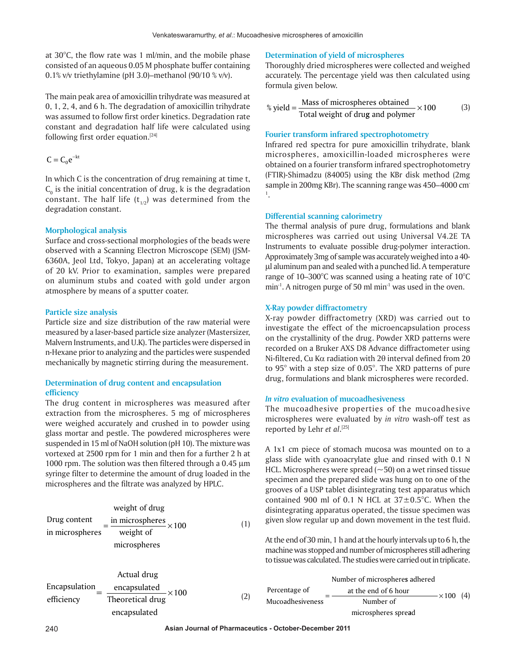at 30°C, the flow rate was 1 ml/min, and the mobile phase consisted of an aqueous 0.05 M phosphate buffer containing 0.1% v/v triethylamine (pH 3.0)–methanol (90/10 % v/v).

The main peak area of amoxicillin trihydrate was measured at 0, 1, 2, 4, and 6 h. The degradation of amoxicillin trihydrate was assumed to follow first order kinetics. Degradation rate constant and degradation half life were calculated using following first order equation.<sup>[24]</sup>

$$
C = C_0 e^{-kt}
$$

In which C is the concentration of drug remaining at time t,  $C<sub>o</sub>$  is the initial concentration of drug, k is the degradation constant. The half life  $(t_{1/2})$  was determined from the degradation constant.

# **Morphological analysis**

Surface and cross-sectional morphologies of the beads were observed with a Scanning Electron Microscope (SEM) (JSM-6360A, Jeol Ltd, Tokyo, Japan) at an accelerating voltage of 20 kV. Prior to examination, samples were prepared on aluminum stubs and coated with gold under argon atmosphere by means of a sputter coater.

# **Particle size analysis**

Particle size and size distribution of the raw material were measured by a laser-based particle size analyzer (Mastersizer, Malvern Instruments, and U.K). The particles were dispersed in n-Hexane prior to analyzing and the particles were suspended mechanically by magnetic stirring during the measurement.

# **Determination of drug content and encapsulation efficiency**

The drug content in microspheres was measured after extraction from the microspheres. 5 mg of microspheres were weighed accurately and crushed in to powder using glass mortar and pestle. The powdered microspheres were suspended in 15 ml of NaOH solution (pH 10). The mixture was vortexed at 2500 rpm for 1 min and then for a further 2 h at 1000 rpm. The solution was then filtered through a 0.45 µm syringe filter to determine the amount of drug loaded in the microspheres and the filtrate was analyzed by HPLC.

Weight of drug

\nDrug content in microspheres

\n
$$
\frac{\text{in microspheres}}{\text{weight of}} \times 100
$$

\n(1)

\nmicrospheres

| Actual drug   |                                                                  |     |
|---------------|------------------------------------------------------------------|-----|
| Encapsulation | $\frac{\text{encapsulated}}{\text{Theoretical drug}} \times 100$ | (2) |
| encapsulated  |                                                                  |     |

#### **Determination of yield of microspheres**

Thoroughly dried microspheres were collected and weighed accurately. The percentage yield was then calculated using formula given below.

% yield = 
$$
\frac{\text{Mass of microspheres obtained}}{\text{Total weight of drug and polymer}} \times 100
$$
 (3)

# **Fourier transform infrared spectrophotometry**

Infrared red spectra for pure amoxicillin trihydrate, blank microspheres, amoxicillin-loaded microspheres were obtained on a fourier transform infrared spectrophotometry (FTIR)-Shimadzu (84005) using the KBr disk method (2mg sample in 200mg KBr). The scanning range was 450–4000 cm-1 .

# **Differential scanning calorimetry**

The thermal analysis of pure drug, formulations and blank microspheres was carried out using Universal V4.2E TA Instruments to evaluate possible drug-polymer interaction. Approximately 3mg of sample was accurately weighed into a 40 μl aluminum pan and sealed with a punched lid. A temperature range of 10–300°C was scanned using a heating rate of 10°C min<sup>-1</sup>. A nitrogen purge of 50 ml min<sup>-1</sup> was used in the oven.

# **X-Ray powder diffractometry**

X-ray powder diffractometry (XRD) was carried out to investigate the effect of the microencapsulation process on the crystallinity of the drug. Powder XRD patterns were recorded on a Bruker AXS D8 Advance diffractometer using Ni-filtered, Cu Ka radiation with 2θ interval defined from 20 to 95° with a step size of 0.05°. The XRD patterns of pure drug, formulations and blank microspheres were recorded.

# *In vitro* **evaluation of mucoadhesiveness**

The mucoadhesive properties of the mucoadhesive microspheres were evaluated by *in vitro* wash-off test as reported by Lehr *et al*. [25]

A 1x1 cm piece of stomach mucosa was mounted on to a glass slide with cyanoacrylate glue and rinsed with 0.1 N HCL. Microspheres were spread  $(\sim 50)$  on a wet rinsed tissue specimen and the prepared slide was hung on to one of the grooves of a USP tablet disintegrating test apparatus which contained 900 ml of 0.1 N HCL at  $37\pm0.5^{\circ}$ C. When the disintegrating apparatus operated, the tissue specimen was given slow regular up and down movement in the test fluid.

At the end of 30 min, 1 h and at the hourly intervals up to 6 h, the machine was stopped and number of microspheres still adhering to tissue was calculated. The studies were carried out in triplicate.

| Number of microspheres adhered |                      |                    |  |  |
|--------------------------------|----------------------|--------------------|--|--|
| Percentage of                  | at the end of 6 hour | $- \times 100$ (4) |  |  |
| Mucoadhesiveness               | Number of            |                    |  |  |
|                                | microspheres spread  |                    |  |  |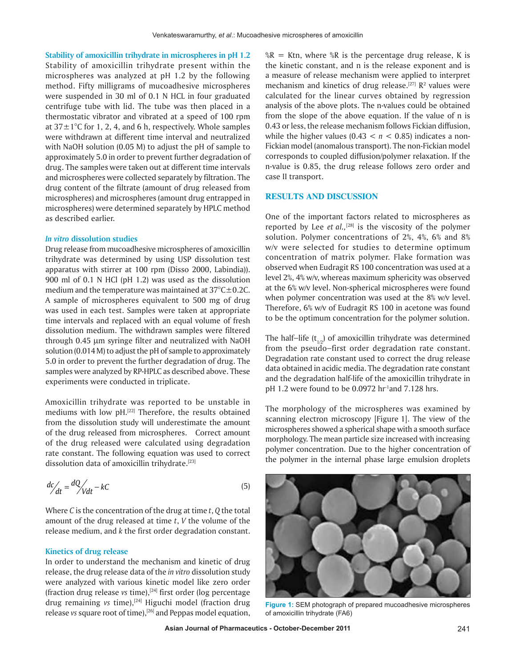**Stability of amoxicillin trihydrate in microspheres in pH 1.2** Stability of amoxicillin trihydrate present within the microspheres was analyzed at pH 1.2 by the following method. Fifty milligrams of mucoadhesive microspheres were suspended in 30 ml of 0.1 N HCL in four graduated centrifuge tube with lid. The tube was then placed in a thermostatic vibrator and vibrated at a speed of 100 rpm at  $37\pm1^{\circ}$ C for 1, 2, 4, and 6 h, respectively. Whole samples were withdrawn at different time interval and neutralized with NaOH solution (0.05 M) to adjust the pH of sample to approximately 5.0 in order to prevent further degradation of drug. The samples were taken out at different time intervals and microspheres were collected separately by filtration. The drug content of the filtrate (amount of drug released from microspheres) and microspheres (amount drug entrapped in microspheres) were determined separately by HPLC method as described earlier.

### *In vitro* **dissolution studies**

Drug release from mucoadhesive microspheres of amoxicillin trihydrate was determined by using USP dissolution test apparatus with stirrer at 100 rpm (Disso 2000, Labindia)). 900 ml of 0.1 N HCl (pH 1.2) was used as the dissolution medium and the temperature was maintained at  $37^{\circ}$ C $\pm$ 0.2C. A sample of microspheres equivalent to 500 mg of drug was used in each test. Samples were taken at appropriate time intervals and replaced with an equal volume of fresh dissolution medium. The withdrawn samples were filtered through 0.45 µm syringe filter and neutralized with NaOH solution (0.014 M) to adjust the pH of sample to approximately 5.0 in order to prevent the further degradation of drug. The samples were analyzed by RP-HPLC as described above. These experiments were conducted in triplicate.

Amoxicillin trihydrate was reported to be unstable in mediums with low pH.<sup>[22]</sup> Therefore, the results obtained from the dissolution study will underestimate the amount of the drug released from microspheres. Correct amount of the drug released were calculated using degradation rate constant. The following equation was used to correct dissolution data of amoxicillin trihydrate.<sup>[23]</sup>

$$
\frac{dc}{dt} = \frac{dQ}{Vdt} - kC\tag{5}
$$

Where *C* is the concentration of the drug at time *t*, *Q* the total amount of the drug released at time *t*, *V* the volume of the release medium, and *k* the first order degradation constant.

#### **Kinetics of drug release**

In order to understand the mechanism and kinetic of drug release, the drug release data of the *in vitro* dissolution study were analyzed with various kinetic model like zero order (fraction drug release *vs* time),[24] first order (log percentage drug remaining *vs* time),<sup>[24]</sup> Higuchi model (fraction drug release *vs* square root of time),[26] and Peppas model equation,

 $R =$  Ktn, where  $R$  is the percentage drug release, K is the kinetic constant, and n is the release exponent and is a measure of release mechanism were applied to interpret mechanism and kinetics of drug release.<sup>[27]</sup>  $\mathbb{R}^2$  values were calculated for the linear curves obtained by regression analysis of the above plots. The n-values could be obtained from the slope of the above equation. If the value of n is 0.43 or less, the release mechanism follows Fickian diffusion, while the higher values  $(0.43 < n < 0.85)$  indicates a non-Fickian model (anomalous transport). The non-Fickian model corresponds to coupled diffusion/polymer relaxation. If the n-value is 0.85, the drug release follows zero order and case II transport.

# **RESULTS AND DISCUSSION**

One of the important factors related to microspheres as reported by Lee *et al.,*[28] is the viscosity of the polymer solution. Polymer concentrations of 2%, 4%, 6% and 8% w/v were selected for studies to determine optimum concentration of matrix polymer. Flake formation was observed when Eudragit RS 100 concentration was used at a level 2%, 4% w/v, whereas maximum sphericity was observed at the 6% w/v level. Non-spherical microspheres were found when polymer concentration was used at the 8% w/v level. Therefore, 6% w/v of Eudragit RS 100 in acetone was found to be the optimum concentration for the polymer solution.

The half-life  $(t_{1/2})$  of amoxicillin trihydrate was determined from the pseudo-first order degradation rate constant. Degradation rate constant used to correct the drug release data obtained in acidic media. The degradation rate constant and the degradation half-life of the amoxicillin trihydrate in pH 1.2 were found to be 0.0972 hr<sup>1</sup>and 7.128 hrs.

The morphology of the microspheres was examined by scanning electron microscopy [Figure 1]. The view of the microspheres showed a spherical shape with a smooth surface morphology. The mean particle size increased with increasing polymer concentration. Due to the higher concentration of the polymer in the internal phase large emulsion droplets



**Figure 1:** SEM photograph of prepared mucoadhesive microspheres of amoxicillin trihydrate (FA6)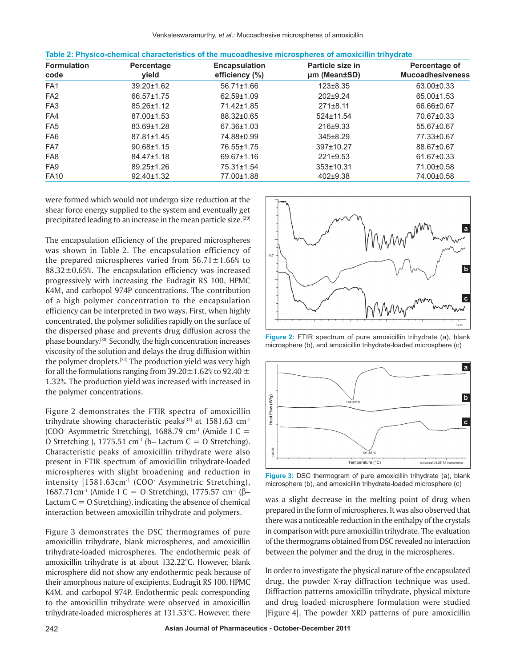| <b>Formulation</b><br>code | Percentage<br>yield | <b>Encapsulation</b><br>efficiency (%) | Particle size in<br>um (Mean±SD) | Percentage of<br><b>Mucoadhesiveness</b> |  |
|----------------------------|---------------------|----------------------------------------|----------------------------------|------------------------------------------|--|
| FA <sub>1</sub>            | 39.20±1.62          | $56.71 \pm 1.66$                       | $123 \pm 8.35$                   | 63.00±0.33                               |  |
| FA <sub>2</sub>            | 66.57±1.75          | 62.59±1.09                             | $202+9.24$                       | 65.00±1.53                               |  |
| FA <sub>3</sub>            | 85.26±1.12          | 71.42±1.85                             | $271 \pm 8.11$                   | 66.66±0.67                               |  |
| FA4                        | 87.00±1.53          | 88.32±0.65                             | $524 \pm 11.54$                  | 70.67±0.33                               |  |
| FA <sub>5</sub>            | 83.69±1.28          | 67.36±1.03                             | $216+9.33$                       | 55.67±0.67                               |  |
| FA <sub>6</sub>            | 87.81±1.45          | 74.88±0.99                             | $345 \pm 8.29$                   | 77.33±0.67                               |  |
| FA7                        | $90.68 \pm 1.15$    | 76.55±1.75                             | 397±10.27                        | 88.67±0.67                               |  |
| FA <sub>8</sub>            | 84.47±1.18          | 69.67±1.16                             | $221 \pm 9.53$                   | 61.67±0.33                               |  |
| FA <sub>9</sub>            | 89.25±1.26          | 75.31±1.54                             | 353±10.31                        | 71.00±0.58                               |  |
| <b>FA10</b>                | $92.40 \pm 1.32$    | 77.00±1.88                             | $402 \pm 9.38$                   | 74.00±0.58                               |  |

|  |  | Table 2: Physico-chemical characteristics of the mucoadhesive microspheres of amoxicillin trihydrate |  |
|--|--|------------------------------------------------------------------------------------------------------|--|
|--|--|------------------------------------------------------------------------------------------------------|--|

were formed which would not undergo size reduction at the shear force energy supplied to the system and eventually get precipitated leading to an increase in the mean particle size.[29]

The encapsulation efficiency of the prepared microspheres was shown in Table 2. The encapsulation efficiency of the prepared microspheres varied from  $56.71 \pm 1.66\%$  to  $88.32 \pm 0.65$ %. The encapsulation efficiency was increased progressively with increasing the Eudragit RS 100, HPMC K4M, and carbopol 974P concentrations. The contribution of a high polymer concentration to the encapsulation efficiency can be interpreted in two ways. First, when highly concentrated, the polymer solidifies rapidly on the surface of the dispersed phase and prevents drug diffusion across the phase boundary.<sup>[30]</sup> Secondly, the high concentration increases viscosity of the solution and delays the drug diffusion within the polymer droplets.[31] The production yield was very high for all the formulations ranging from  $39.20 \pm 1.62$ % to  $92.40 \pm 1.62$ 1.32%. The production yield was increased with increased in the polymer concentrations.

Figure 2 demonstrates the FTIR spectra of amoxicillin trihydrate showing characteristic peaks $[32]$  at 1581.63 cm<sup>-1</sup> (COO<sup>-</sup> Asymmetric Stretching), 1688.79 cm<sup>-1</sup> (Amide I C = O Stretching ), 1775.51 cm<sup>-1</sup> (b– Lactum C = O Stretching). Characteristic peaks of amoxicillin trihydrate were also present in FTIR spectrum of amoxicillin trihydrate-loaded microspheres with slight broadening and reduction in intensity [1581.63cm<sup>-1</sup> (COO<sup>-</sup> Asymmetric Stretching), 1687.71cm<sup>-1</sup> (Amide I C = O Stretching), 1775.57 cm<sup>-1</sup> (β– Lactum  $C = O$  Stretching), indicating the absence of chemical interaction between amoxicillin trihydrate and polymers.

Figure 3 demonstrates the DSC thermogrames of pure amoxicillin trihydrate, blank microspheres, and amoxicillin trihydrate-loaded microspheres. The endothermic peak of amoxicillin trihydrate is at about 132.22°C. However, blank microsphere did not show any endothermic peak because of their amorphous nature of excipients, Eudragit RS 100, HPMC K4M, and carbopol 974P. Endothermic peak corresponding to the amoxicillin trihydrate were observed in amoxicillin trihydrate-loaded microspheres at 131.53°C. However, there



**Figure 2:** FTIR spectrum of pure amoxicillin trihydrate (a), blank microsphere (b), and amoxicillin trihydrate-loaded microsphere (c)



**Figure 3:** DSC thermogram of pure amoxicillin trihydrate (a), blank microsphere (b), and amoxicillin trihydrate-loaded microsphere (c)

was a slight decrease in the melting point of drug when prepared in the form of microspheres. It was also observed that there was a noticeable reduction in the enthalpy of the crystals in comparison with pure amoxicillin trihydrate. The evaluation of the thermograms obtained from DSC revealed no interaction between the polymer and the drug in the microspheres.

In order to investigate the physical nature of the encapsulated drug, the powder X-ray diffraction technique was used. Diffraction patterns amoxicillin trihydrate, physical mixture and drug loaded microsphere formulation were studied [Figure 4]. The powder XRD patterns of pure amoxicillin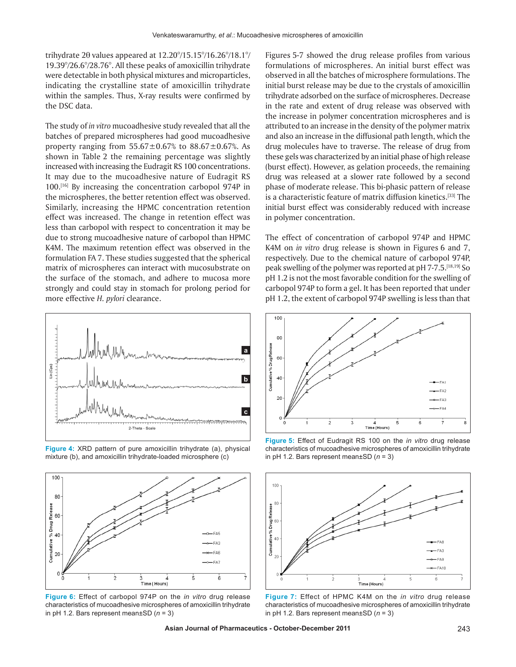trihydrate 2θ values appeared at 12.20°/15.15°/16.26°/18.1°/ 19.39°/26.6°/28.76°. All these peaks of amoxicillin trihydrate were detectable in both physical mixtures and microparticles, indicating the crystalline state of amoxicillin trihydrate within the samples. Thus, X-ray results were confirmed by the DSC data.

The study of *in vitro* mucoadhesive study revealed that all the batches of prepared microspheres had good mucoadhesive property ranging from  $55.67 \pm 0.67$ % to  $88.67 \pm 0.67$ %. As shown in Table 2 the remaining percentage was slightly increased with increasing the Eudragit RS 100 concentrations. It may due to the mucoadhesive nature of Eudragit RS 100.[16] By increasing the concentration carbopol 974P in the microspheres, the better retention effect was observed. Similarly, increasing the HPMC concentration retention effect was increased. The change in retention effect was less than carbopol with respect to concentration it may be due to strong mucoadhesive nature of carbopol than HPMC K4M. The maximum retention effect was observed in the formulation FA 7. These studies suggested that the spherical matrix of microspheres can interact with mucosubstrate on the surface of the stomach, and adhere to mucosa more strongly and could stay in stomach for prolong period for more effective *H. pylori* clearance.



**Figure 4:** XRD pattern of pure amoxicillin trihydrate (a), physical mixture (b), and amoxicillin trihydrate-loaded microsphere (c)



**Figure 6:** Effect of carbopol 974P on the *in vitro* drug release characteristics of mucoadhesive microspheres of amoxicillin trihydrate in pH 1.2. Bars represent mean±SD (*n* = 3)

Figures 5-7 showed the drug release profiles from various formulations of microspheres. An initial burst effect was observed in all the batches of microsphere formulations. The initial burst release may be due to the crystals of amoxicillin trihydrate adsorbed on the surface of microspheres. Decrease in the rate and extent of drug release was observed with the increase in polymer concentration microspheres and is attributed to an increase in the density of the polymer matrix and also an increase in the diffusional path length, which the drug molecules have to traverse. The release of drug from these gels was characterized by an initial phase of high release (burst effect). However, as gelation proceeds, the remaining drug was released at a slower rate followed by a second phase of moderate release. This bi-phasic pattern of release is a characteristic feature of matrix diffusion kinetics.<sup>[33]</sup> The initial burst effect was considerably reduced with increase in polymer concentration.

The effect of concentration of carbopol 974P and HPMC K4M on *in vitro* drug release is shown in Figures 6 and 7, respectively. Due to the chemical nature of carbopol 974P, peak swelling of the polymer was reported at pH 7-7.5.[18,19] So pH 1.2 is not the most favorable condition for the swelling of carbopol 974P to form a gel. It has been reported that under pH 1.2, the extent of carbopol 974P swelling is less than that



**Figure 5:** Effect of Eudragit RS 100 on the *in vitro* drug release characteristics of mucoadhesive microspheres of amoxicillin trihydrate in pH 1.2. Bars represent mean±SD (*n* = 3)



**Figure 7:** Effect of HPMC K4M on the *in vitro* drug release characteristics of mucoadhesive microspheres of amoxicillin trihydrate in pH 1.2. Bars represent mean±SD (*n* = 3)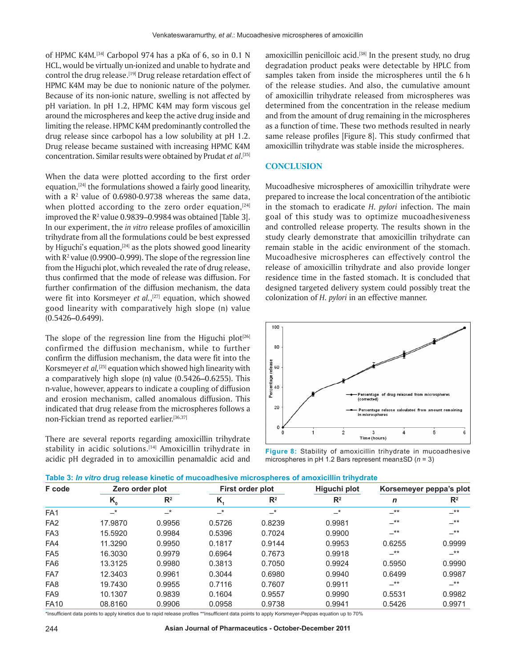of HPMC K4M.<sup>[34]</sup> Carbopol 974 has a pKa of 6, so in 0.1 N HCL, would be virtually un-ionized and unable to hydrate and control the drug release.<sup>[19]</sup> Drug release retardation effect of HPMC K4M may be due to nonionic nature of the polymer. Because of its non-ionic nature, swelling is not affected by pH variation. In pH 1.2, HPMC K4M may form viscous gel around the microspheres and keep the active drug inside and limiting the release. HPMC K4M predominantly controlled the drug release since carbopol has a low solubility at pH 1.2. Drug release became sustained with increasing HPMC K4M concentration. Similar results were obtained by Prudat *et al*. [35]

When the data were plotted according to the first order equation,<sup>[24]</sup> the formulations showed a fairly good linearity, with a  $\mathbb{R}^2$  value of 0.6980-0.9738 whereas the same data, when plotted according to the zero order equation, $[24]$ improved the  $R^2$  value 0.9839–0.9984 was obtained [Table 3]. In our experiment, the *in vitro* release profiles of amoxicillin trihydrate from all the formulations could be best expressed by Higuchi's equation,<sup>[24]</sup> as the plots showed good linearity with  $R^2$  value (0.9900–0.999). The slope of the regression line from the Higuchi plot, which revealed the rate of drug release, thus confirmed that the mode of release was diffusion. For further confirmation of the diffusion mechanism, the data were fit into Korsmeyer *et al.*, [27] equation, which showed good linearity with comparatively high slope (n) value (0.5426**–**0.6499).

The slope of the regression line from the Higuchi plot $[26]$ confirmed the diffusion mechanism, while to further confirm the diffusion mechanism, the data were fit into the Korsmeyer *et al,*[25] equation which showed high linearity with a comparatively high slope (n**)** value (0.5426**–**0.6255). This n-value, however, appears to indicate a coupling of diffusion and erosion mechanism, called anomalous diffusion. This indicated that drug release from the microspheres follows a non-Fickian trend as reported earlier.<sup>[36,37]</sup>

There are several reports regarding amoxicillin trihydrate stability in acidic solutions.<sup>[14]</sup> Amoxicillin trihydrate in acidic pH degraded in to amoxicillin penamaldic acid and amoxicillin penicilloic acid.<sup>[38]</sup> In the present study, no drug degradation product peaks were detectable by HPLC from samples taken from inside the microspheres until the 6 h of the release studies. And also, the cumulative amount of amoxicillin trihydrate released from microspheres was determined from the concentration in the release medium and from the amount of drug remaining in the microspheres as a function of time. These two methods resulted in nearly same release profiles [Figure 8]. This study confirmed that amoxicillin trihydrate was stable inside the microspheres.

#### **CONCLUSION**

Mucoadhesive microspheres of amoxicillin trihydrate were prepared to increase the local concentration of the antibiotic in the stomach to eradicate *H. pylori* infection. The main goal of this study was to optimize mucoadhesiveness and controlled release property. The results shown in the study clearly demonstrate that amoxicillin trihydrate can remain stable in the acidic environment of the stomach. Mucoadhesive microspheres can effectively control the release of amoxicillin trihydrate and also provide longer residence time in the fasted stomach. It is concluded that designed targeted delivery system could possibly treat the colonization of *H. pylori* in an effective manner.



**Figure 8:** Stability of amoxicillin trihydrate in mucoadhesive microspheres in pH 1.2 Bars represent mean±SD (*n* = 3)

| F code          | Zero order plot |        | First order plot |        | Higuchi plot   | Korsemeyer peppa's plot |                |
|-----------------|-----------------|--------|------------------|--------|----------------|-------------------------|----------------|
|                 | $K_{0}$         | $R^2$  | K,               | $R^2$  | $\mathbb{R}^2$ | n                       | $\mathbb{R}^2$ |
| FA <sub>1</sub> | $-*$            | $-^*$  | $-$ *            | $-^*$  | $-^*$          | $-***$                  | $-***$         |
| FA <sub>2</sub> | 17.9870         | 0.9956 | 0.5726           | 0.8239 | 0.9981         | $-***$                  | $-***$         |
| FA <sub>3</sub> | 15.5920         | 0.9984 | 0.5396           | 0.7024 | 0.9900         | $-***$                  | $-***$         |
| FA4             | 11.3290         | 0.9950 | 0.1817           | 0.9144 | 0.9953         | 0.6255                  | 0.9999         |
| FA <sub>5</sub> | 16.3030         | 0.9979 | 0.6964           | 0.7673 | 0.9918         | $-***$                  | $-***$         |
| FA <sub>6</sub> | 13.3125         | 0.9980 | 0.3813           | 0.7050 | 0.9924         | 0.5950                  | 0.9990         |
| FA7             | 12.3403         | 0.9961 | 0.3044           | 0.6980 | 0.9940         | 0.6499                  | 0.9987         |
| FA <sub>8</sub> | 19.7430         | 0.9955 | 0.7116           | 0.7607 | 0.9911         | $-***$                  | $-***$         |
| FA <sub>9</sub> | 10.1307         | 0.9839 | 0.1604           | 0.9557 | 0.9990         | 0.5531                  | 0.9982         |
| <b>FA10</b>     | 08.8160         | 0.9906 | 0.0958           | 0.9738 | 0.9941         | 0.5426                  | 0.9971         |

\*Insufficient data points to apply kinetics due to rapid release profiles \*\*Insufficient data points to apply Korsmeyer-Peppas equation up to 70%